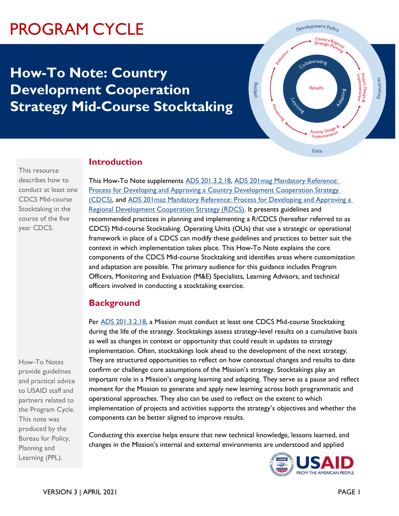# PROGRAM CYCLE

## **How-To Note: Country Development Cooperation Strategy Mid-Course Stocktaking**



### **Introduction**

This resource describes how to conduct at least one CDCS Mid-course Stocktaking in the course of the five year CDCS.

This How-To Note supplements [ADS 201.3.2.18,](https://www.usaid.gov/ads/policy/200/201) [ADS 201mag Mandatory Reference:](https://www.usaid.gov/ads/policy/200/201mag)  [Process for Developing and Approving a Country Development Cooperation Strategy](https://www.usaid.gov/ads/policy/200/201mag)  [\(CDCS\),](https://www.usaid.gov/ads/policy/200/201mag) and [ADS 201maz Mandatory Reference: Process for Developing and Approving a](https://www.usaid.gov/ads/policy/200/201maz)  [Regional Development Cooperation Strategy \(RDCS\).](https://www.usaid.gov/ads/policy/200/201maz) It presents guidelines and recommended practices in planning and implementing a R/CDCS (hereafter referred to as CDCS) Mid-course Stocktaking. Operating Units (OUs) that use a strategic or operational framework in place of a CDCS can modify these guidelines and practices to better suit the context in which implementation takes place. This How-To Note explains the core components of the CDCS Mid-course Stocktaking and identifies areas where customization and adaptation are possible. The primary audience for this guidance includes Program Officers, Monitoring and Evaluation (M&E) Specialists, Learning Advisors, and technical officers involved in conducting a stocktaking exercise.

## **Background**

Per **ADS 201.3.2.18**, a Mission must conduct at least one CDCS Mid-course Stocktaking during the life of the strategy. Stocktakings assess strategy-level results on a cumulative basis as well as changes in context or opportunity that could result in updates to strategy implementation. Often, stocktakings look ahead to the development of the next strategy. They are structured opportunities to reflect on how contextual changes and results to date confirm or challenge core assumptions of the Mission's strategy. Stocktakings play an important role in a Mission's ongoing learning and adapting. They serve as a pause and reflect moment for the Mission to generate and apply new learning across both programmatic and operational approaches. They also can be used to reflect on the extent to which implementation of projects and activities supports the strategy's objectives and whether the components can be better aligned to improve results.

Conducting this exercise helps ensure that new technical knowledge, lessons learned, and changes in the Mission's internal and external environments are understood and applied



How-To Notes provide guidelines and practical advice to USAID staff and partners related to the Program Cycle. This note was produced by the Bureau for Policy, Planning and Learning (PPL).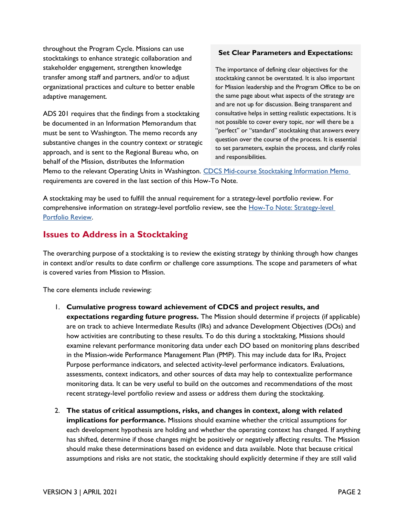throughout the Program Cycle. Missions can use stocktakings to enhance strategic collaboration and stakeholder engagement, strengthen knowledge transfer among staff and partners, and/or to adjust organizational practices and culture to better enable adaptive management.

ADS 201 requires that the findings from a stocktaking be documented in an Information Memorandum that must be sent to Washington. The memo records any substantive changes in the country context or strategic approach, and is sent to the Regional Bureau who, on behalf of the Mission, distributes the Information

#### **Set Clear Parameters and Expectations:**

The importance of defining clear objectives for the stocktaking cannot be overstated. It is also important for Mission leadership and the Program Office to be on the same page about what aspects of the strategy are and are not up for discussion. Being transparent and consultative helps in setting realistic expectations. It is not possible to cover every topic, nor will there be a "perfect" or "standard" stocktaking that answers every question over the course of the process. It is essential to set parameters, explain the process, and clarify roles and responsibilities.

Memo to the relevant Operating Units in Washington. CDCS [Mid-course Stocktaking Information Memo](https://usaidlearninglab.org/library/how-note-cdcs-mid-course-stocktaking) requirements are covered in the last section of this How-To Note.

A stocktaking may be used to fulfill the annual requirement for a strategy-level portfolio review. For comprehensive information on strategy-level portfolio review, see the How-To Note: Strategy-level [Portfolio Review.](https://usaidlearninglab.org/library/how-note-strategy-level-portfolio-review)

#### **Issues to Address in a Stocktaking**

The overarching purpose of a stocktaking is to review the existing strategy by thinking through how changes in context and/or results to date confirm or challenge core assumptions. The scope and parameters of what is covered varies from Mission to Mission.

The core elements include reviewing:

- 1. **Cumulative progress toward achievement of CDCS and project results, and expectations regarding future progress.** The Mission should determine if projects (if applicable) are on track to achieve Intermediate Results (IRs) and advance Development Objectives (DOs) and how activities are contributing to these results. To do this during a stocktaking, Missions should examine relevant performance monitoring data under each DO based on monitoring plans described in the Mission-wide Performance Management Plan (PMP). This may include data for IRs, Project Purpose performance indicators, and selected activity-level performance indicators. Evaluations, assessments, context indicators, and other sources of data may help to contextualize performance monitoring data. It can be very useful to build on the outcomes and recommendations of the most recent strategy-level portfolio review and assess or address them during the stocktaking.
- 2. **The status of critical assumptions, risks, and changes in context, along with related implications for performance.** Missions should examine whether the critical assumptions for each development hypothesis are holding and whether the operating context has changed. If anything has shifted, determine if those changes might be positively or negatively affecting results. The Mission should make these determinations based on evidence and data available. Note that because critical assumptions and risks are not static, the stocktaking should explicitly determine if they are still valid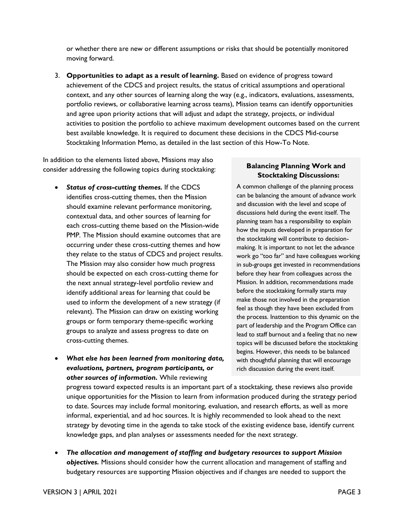or whether there are new or different assumptions or risks that should be potentially monitored moving forward.

3. **Opportunities to adapt as a result of learning.** Based on evidence of progress toward achievement of the CDCS and project results, the status of critical assumptions and operational context, and any other sources of learning along the way (e.g., indicators, evaluations, assessments, portfolio reviews, or collaborative learning across teams), Mission teams can identify opportunities and agree upon priority actions that will adjust and adapt the strategy, projects, or individual activities to position the portfolio to achieve maximum development outcomes based on the current best available knowledge. It is required to document these decisions in the CDCS Mid-course Stocktaking Information Memo, as detailed in the last section of this How-To Note.

In addition to the elements listed above, Missions may also consider addressing the following topics during stocktaking:

- *Status of cross-cutting themes.* If the CDCS identifies cross-cutting themes, then the Mission should examine relevant performance monitoring, contextual data, and other sources of learning for each cross-cutting theme based on the Mission-wide PMP. The Mission should examine outcomes that are occurring under these cross-cutting themes and how they relate to the status of CDCS and project results. The Mission may also consider how much progress should be expected on each cross-cutting theme for the next annual strategy-level portfolio review and identify additional areas for learning that could be used to inform the development of a new strategy (if relevant). The Mission can draw on existing working groups or form temporary theme-specific working groups to analyze and assess progress to date on cross-cutting themes.
- *What else has been learned from monitoring data, evaluations, partners, program participants, or other sources of information.* While reviewing

#### **Balancing Planning Work and Stocktaking Discussions:**

A common challenge of the planning process can be balancing the amount of advance work and discussion with the level and scope of discussions held during the event itself. The planning team has a responsibility to explain how the inputs developed in preparation for the stocktaking will contribute to decisionmaking. It is important to not let the advance work go "too far" and have colleagues working in sub-groups get invested in recommendations before they hear from colleagues across the Mission. In addition, recommendations made before the stocktaking formally starts may make those not involved in the preparation feel as though they have been excluded from the process. Inattention to this dynamic on the part of leadership and the Program Office can lead to staff burnout and a feeling that no new topics will be discussed before the stocktaking begins. However, this needs to be balanced with thoughtful planning that will encourage rich discussion during the event itself.

progress toward expected results is an important part of a stocktaking, these reviews also provide unique opportunities for the Mission to learn from information produced during the strategy period to date. Sources may include formal monitoring, evaluation, and research efforts, as well as more informal, experiential, and ad hoc sources. It is highly recommended to look ahead to the next strategy by devoting time in the agenda to take stock of the existing evidence base, identify current knowledge gaps, and plan analyses or assessments needed for the next strategy.

• *The allocation and management of staffing and budgetary resources to support Mission objectives.* Missions should consider how the current allocation and management of staffing and budgetary resources are supporting Mission objectives and if changes are needed to support the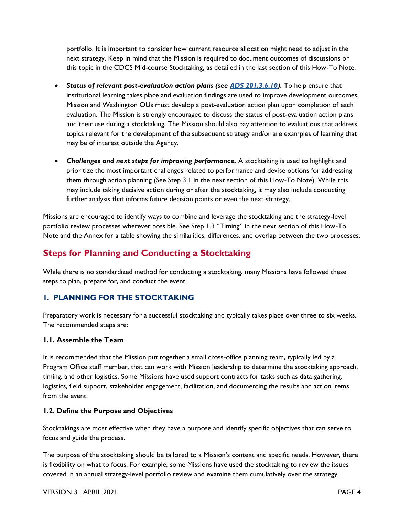portfolio. It is important to consider how current resource allocation might need to adjust in the next strategy. Keep in mind that the Mission is required to document outcomes of discussions on this topic in the CDCS Mid-course Stocktaking, as detailed in the last section of this How-To Note.

- *Status of relevant post-evaluation action plans (see [ADS 201.3.6.10\)](https://www.usaid.gov/ads/policy/200/201).* To help ensure that institutional learning takes place and evaluation findings are used to improve development outcomes, Mission and Washington OUs must develop a post-evaluation action plan upon completion of each evaluation. The Mission is strongly encouraged to discuss the status of post-evaluation action plans and their use during a stocktaking. The Mission should also pay attention to evaluations that address topics relevant for the development of the subsequent strategy and/or are examples of learning that may be of interest outside the Agency.
- *Challenges and next steps for improving performance.* A stocktaking is used to highlight and prioritize the most important challenges related to performance and devise options for addressing them through action planning (See Step 3.1 in the next section of this How-To Note). While this may include taking decisive action during or after the stocktaking, it may also include conducting further analysis that informs future decision points or even the next strategy.

Missions are encouraged to identify ways to combine and leverage the stocktaking and the strategy-level portfolio review processes wherever possible. See Step 1.3 "Timing" in the next section of this How-To Note and the Annex for a table showing the similarities, differences, and overlap between the two processes.

## **Steps for Planning and Conducting a Stocktaking**

While there is no standardized method for conducting a stocktaking, many Missions have followed these steps to plan, prepare for, and conduct the event.

#### **1. PLANNING FOR THE STOCKTAKING**

Preparatory work is necessary for a successful stocktaking and typically takes place over three to six weeks. The recommended steps are:

#### **1.1. Assemble the Team**

It is recommended that the Mission put together a small cross-office planning team, typically led by a Program Office staff member, that can work with Mission leadership to determine the stocktaking approach, timing, and other logistics. Some Missions have used support contracts for tasks such as data gathering, logistics, field support, stakeholder engagement, facilitation, and documenting the results and action items from the event.

#### **1.2. Define the Purpose and Objectives**

Stocktakings are most effective when they have a purpose and identify specific objectives that can serve to focus and guide the process.

The purpose of the stocktaking should be tailored to a Mission's context and specific needs. However, there is flexibility on what to focus. For example, some Missions have used the stocktaking to review the issues covered in an annual strategy-level portfolio review and examine them cumulatively over the strategy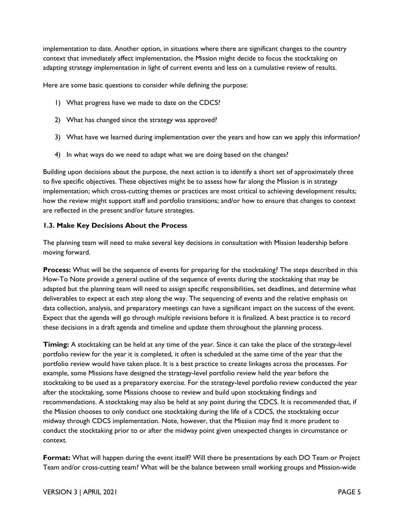implementation to date. Another option, in situations where there are significant changes to the country context that immediately affect implementation, the Mission might decide to focus the stocktaking on adapting strategy implementation in light of current events and less on a cumulative review of results.

Here are some basic questions to consider while defining the purpose:

- 1) What progress have we made to date on the CDCS?
- 2) What has changed since the strategy was approved?
- 3) What have we learned during implementation over the years and how can we apply this information?
- 4) In what ways do we need to adapt what we are doing based on the changes?

Building upon decisions about the purpose, the next action is to identify a short set of approximately three to five specific objectives. These objectives might be to assess how far along the Mission is in strategy implementation; which cross-cutting themes or practices are most critical to achieving development results; how the review might support staff and portfolio transitions; and/or how to ensure that changes to context are reflected in the present and/or future strategies.

#### **1.3. Make Key Decisions About the Process**

The planning team will need to make several key decisions in consultation with Mission leadership before moving forward.

**Process:** What will be the sequence of events for preparing for the stocktaking? The steps described in this How-To Note provide a general outline of the sequence of events during the stocktaking that may be adapted but the planning team will need to assign specific responsibilities, set deadlines, and determine what deliverables to expect at each step along the way. The sequencing of events and the relative emphasis on data collection, analysis, and preparatory meetings can have a significant impact on the success of the event. Expect that the agenda will go through multiple revisions before it is finalized. A best practice is to record these decisions in a draft agenda and timeline and update them throughout the planning process.

**Timing:** A stocktaking can be held at any time of the year. Since it can take the place of the strategy-level portfolio review for the year it is completed, it often is scheduled at the same time of the year that the portfolio review would have taken place. It is a best practice to create linkages across the processes. For example, some Missions have designed the strategy-level portfolio review held the year before the stocktaking to be used as a preparatory exercise. For the strategy-level portfolio review conducted the year after the stocktaking, some Missions choose to review and build upon stocktaking findings and recommendations. A stocktaking may also be held at any point during the CDCS. It is recommended that, if the Mission chooses to only conduct one stocktaking during the life of a CDCS, the stocktaking occur midway through CDCS implementation. Note, however, that the Mission may find it more prudent to conduct the stocktaking prior to or after the midway point given unexpected changes in circumstance or context.

**Format:** What will happen during the event itself? Will there be presentations by each DO Team or Project Team and/or cross-cutting team? What will be the balance between small working groups and Mission-wide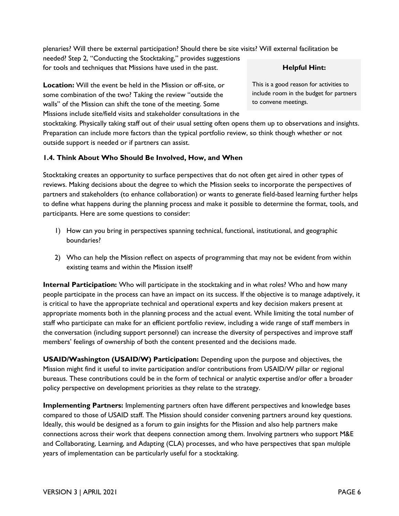plenaries? Will there be external participation? Should there be site visits? Will external facilitation be needed? Step 2, "Conducting the Stocktaking," provides suggestions for tools and techniques that Missions have used in the past.

**Location:** Will the event be held in the Mission or off-site, or some combination of the two? Taking the review "outside the walls" of the Mission can shift the tone of the meeting. Some Missions include site/field visits and stakeholder consultations in the

stocktaking. Physically taking staff out of their usual setting often opens them up to observations and insights. Preparation can include more factors than the typical portfolio review, so think though whether or not outside support is needed or if partners can assist.

#### **1.4. Think About Who Should Be Involved, How, and When**

Stocktaking creates an opportunity to surface perspectives that do not often get aired in other types of reviews. Making decisions about the degree to which the Mission seeks to incorporate the perspectives of partners and stakeholders (to enhance collaboration) or wants to generate field-based learning further helps to define what happens during the planning process and make it possible to determine the format, tools, and participants. Here are some questions to consider:

- 1) How can you bring in perspectives spanning technical, functional, institutional, and geographic boundaries?
- 2) Who can help the Mission reflect on aspects of programming that may not be evident from within existing teams and within the Mission itself?

**Internal Participation:** Who will participate in the stocktaking and in what roles? Who and how many people participate in the process can have an impact on its success. If the objective is to manage adaptively, it is critical to have the appropriate technical and operational experts and key decision makers present at appropriate moments both in the planning process and the actual event. While limiting the total number of staff who participate can make for an efficient portfolio review, including a wide range of staff members in the conversation (including support personnel) can increase the diversity of perspectives and improve staff members' feelings of ownership of both the content presented and the decisions made.

**USAID/Washington (USAID/W) Participation:** Depending upon the purpose and objectives, the Mission might find it useful to invite participation and/or contributions from USAID/W pillar or regional bureaus. These contributions could be in the form of technical or analytic expertise and/or offer a broader policy perspective on development priorities as they relate to the strategy.

**Implementing Partners:** Implementing partners often have different perspectives and knowledge bases compared to those of USAID staff. The Mission should consider convening partners around key questions. Ideally, this would be designed as a forum to gain insights for the Mission and also help partners make connections across their work that deepens connection among them. Involving partners who support M&E and Collaborating, Learning, and Adapting (CLA) processes, and who have perspectives that span multiple years of implementation can be particularly useful for a stocktaking.

#### **Helpful Hint:**

This is a good reason for activities to include room in the budget for partners to convene meetings.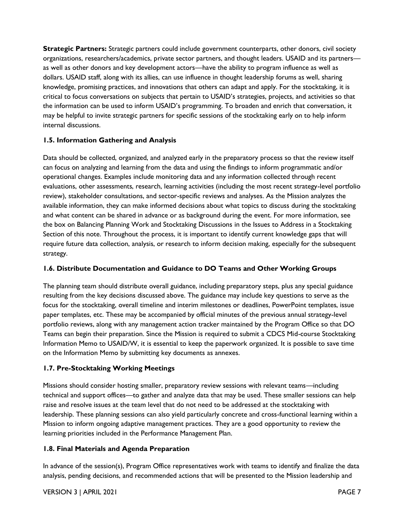**Strategic Partners:** Strategic partners could include government counterparts, other donors, civil society organizations, researchers/academics, private sector partners, and thought leaders. USAID and its partners as well as other donors and key development actors—have the ability to program influence as well as dollars. USAID staff, along with its allies, can use influence in thought leadership forums as well, sharing knowledge, promising practices, and innovations that others can adapt and apply. For the stocktaking, it is critical to focus conversations on subjects that pertain to USAID's strategies, projects, and activities so that the information can be used to inform USAID's programming. To broaden and enrich that conversation, it may be helpful to invite strategic partners for specific sessions of the stocktaking early on to help inform internal discussions.

#### **1.5. Information Gathering and Analysis**

Data should be collected, organized, and analyzed early in the preparatory process so that the review itself can focus on analyzing and learning from the data and using the findings to inform programmatic and/or operational changes. Examples include monitoring data and any information collected through recent evaluations, other assessments, research, learning activities (including the most recent strategy-level portfolio review), stakeholder consultations, and sector-specific reviews and analyses. As the Mission analyzes the available information, they can make informed decisions about what topics to discuss during the stocktaking and what content can be shared in advance or as background during the event. For more information, see the box on Balancing Planning Work and Stocktaking Discussions in the Issues to Address in a Stocktaking Section of this note. Throughout the process, it is important to identify current knowledge gaps that will require future data collection, analysis, or research to inform decision making, especially for the subsequent strategy.

#### **1.6. Distribute Documentation and Guidance to DO Teams and Other Working Groups**

The planning team should distribute overall guidance, including preparatory steps, plus any special guidance resulting from the key decisions discussed above. The guidance may include key questions to serve as the focus for the stocktaking, overall timeline and interim milestones or deadlines, PowerPoint templates, issue paper templates, etc. These may be accompanied by official minutes of the previous annual strategy-level portfolio reviews, along with any management action tracker maintained by the Program Office so that DO Teams can begin their preparation. Since the Mission is required to submit a CDCS Mid-course Stocktaking Information Memo to USAID/W, it is essential to keep the paperwork organized. It is possible to save time on the Information Memo by submitting key documents as annexes.

#### **1.7. Pre-Stocktaking Working Meetings**

Missions should consider hosting smaller, preparatory review sessions with relevant teams—including technical and support offices—to gather and analyze data that may be used. These smaller sessions can help raise and resolve issues at the team level that do not need to be addressed at the stocktaking with leadership. These planning sessions can also yield particularly concrete and cross-functional learning within a Mission to inform ongoing adaptive management practices. They are a good opportunity to review the learning priorities included in the Performance Management Plan.

#### **1.8. Final Materials and Agenda Preparation**

In advance of the session(s), Program Office representatives work with teams to identify and finalize the data analysis, pending decisions, and recommended actions that will be presented to the Mission leadership and

#### VERSION 3 | APRIL 2021 PAGE 7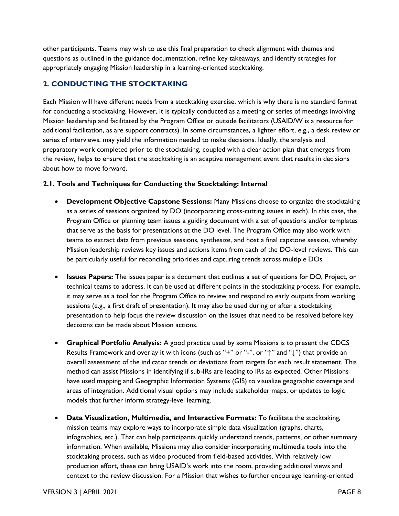other participants. Teams may wish to use this final preparation to check alignment with themes and questions as outlined in the guidance documentation, refine key takeaways, and identify strategies for appropriately engaging Mission leadership in a learning-oriented stocktaking.

#### **2. CONDUCTING THE STOCKTAKING**

Each Mission will have different needs from a stocktaking exercise, which is why there is no standard format for conducting a stocktaking. However, it is typically conducted as a meeting or series of meetings involving Mission leadership and facilitated by the Program Office or outside facilitators (USAID/W is a resource for additional facilitation, as are support contracts). In some circumstances, a lighter effort, e.g., a desk review or series of interviews, may yield the information needed to make decisions. Ideally, the analysis and preparatory work completed prior to the stocktaking, coupled with a clear action plan that emerges from the review, helps to ensure that the stocktaking is an adaptive management event that results in decisions about how to move forward.

#### **2.1. Tools and Techniques for Conducting the Stocktaking: Internal**

- **Development Objective Capstone Sessions:** Many Missions choose to organize the stocktaking as a series of sessions organized by DO (incorporating cross-cutting issues in each). In this case, the Program Office or planning team issues a guiding document with a set of questions and/or templates that serve as the basis for presentations at the DO level. The Program Office may also work with teams to extract data from previous sessions, synthesize, and host a final capstone session, whereby Mission leadership reviews key issues and actions items from each of the DO-level reviews. This can be particularly useful for reconciling priorities and capturing trends across multiple DOs.
- **Issues Papers:** The issues paper is a document that outlines a set of questions for DO, Project, or technical teams to address. It can be used at different points in the stocktaking process. For example, it may serve as a tool for the Program Office to review and respond to early outputs from working sessions (e.g., a first draft of presentation). It may also be used during or after a stocktaking presentation to help focus the review discussion on the issues that need to be resolved before key decisions can be made about Mission actions.
- **Graphical Portfolio Analysis:** A good practice used by some Missions is to present the CDCS Results Framework and overlay it with icons (such as "+" or "-", or " $\uparrow$ " and " $\downarrow$ ") that provide an overall assessment of the indicator trends or deviations from targets for each result statement. This method can assist Missions in identifying if sub-IRs are leading to IRs as expected. Other Missions have used mapping and Geographic Information Systems (GIS) to visualize geographic coverage and areas of integration. Additional visual options may include stakeholder maps, or updates to logic models that further inform strategy-level learning.
- **Data Visualization, Multimedia, and Interactive Formats:** To facilitate the stocktaking, mission teams may explore ways to incorporate simple data visualization (graphs, charts, infographics, etc.). That can help participants quickly understand trends, patterns, or other summary information. When available, Missions may also consider incorporating multimedia tools into the stocktaking process, such as video produced from field-based activities. With relatively low production effort, these can bring USAID's work into the room, providing additional views and context to the review discussion. For a Mission that wishes to further encourage learning-oriented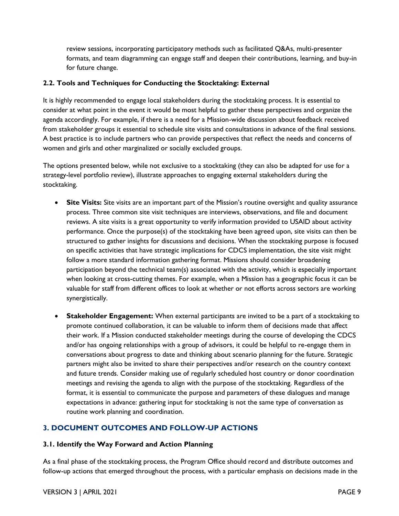review sessions, incorporating participatory methods such as facilitated Q&As, multi-presenter formats, and team diagramming can engage staff and deepen their contributions, learning, and buy-in for future change.

#### **2.2. Tools and Techniques for Conducting the Stocktaking: External**

It is highly recommended to engage local stakeholders during the stocktaking process. It is essential to consider at what point in the event it would be most helpful to gather these perspectives and organize the agenda accordingly. For example, if there is a need for a Mission-wide discussion about feedback received from stakeholder groups it essential to schedule site visits and consultations in advance of the final sessions. A best practice is to include partners who can provide perspectives that reflect the needs and concerns of women and girls and other marginalized or socially excluded groups.

The options presented below, while not exclusive to a stocktaking (they can also be adapted for use for a strategy-level portfolio review), illustrate approaches to engaging external stakeholders during the stocktaking.

- **Site Visits:** Site visits are an important part of the Mission's routine oversight and quality assurance process. Three common site visit techniques are interviews, observations, and file and document reviews. A site visits is a great opportunity to verify information provided to USAID about activity performance. Once the purpose(s) of the stocktaking have been agreed upon, site visits can then be structured to gather insights for discussions and decisions. When the stocktaking purpose is focused on specific activities that have strategic implications for CDCS implementation, the site visit might follow a more standard information gathering format. Missions should consider broadening participation beyond the technical team(s) associated with the activity, which is especially important when looking at cross-cutting themes. For example, when a Mission has a geographic focus it can be valuable for staff from different offices to look at whether or not efforts across sectors are working synergistically.
- **Stakeholder Engagement:** When external participants are invited to be a part of a stocktaking to promote continued collaboration, it can be valuable to inform them of decisions made that affect their work. If a Mission conducted stakeholder meetings during the course of developing the CDCS and/or has ongoing relationships with a group of advisors, it could be helpful to re-engage them in conversations about progress to date and thinking about scenario planning for the future. Strategic partners might also be invited to share their perspectives and/or research on the country context and future trends. Consider making use of regularly scheduled host country or donor coordination meetings and revising the agenda to align with the purpose of the stocktaking. Regardless of the format, it is essential to communicate the purpose and parameters of these dialogues and manage expectations in advance: gathering input for stocktaking is not the same type of conversation as routine work planning and coordination.

#### **3. DOCUMENT OUTCOMES AND FOLLOW-UP ACTIONS**

#### **3.1. Identify the Way Forward and Action Planning**

As a final phase of the stocktaking process, the Program Office should record and distribute outcomes and follow-up actions that emerged throughout the process, with a particular emphasis on decisions made in the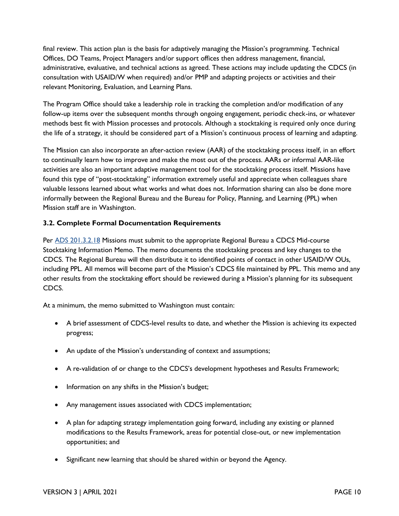final review. This action plan is the basis for adaptively managing the Mission's programming. Technical Offices, DO Teams, Project Managers and/or support offices then address management, financial, administrative, evaluative, and technical actions as agreed. These actions may include updating the CDCS (in consultation with USAID/W when required) and/or PMP and adapting projects or activities and their relevant Monitoring, Evaluation, and Learning Plans.

The Program Office should take a leadership role in tracking the completion and/or modification of any follow-up items over the subsequent months through ongoing engagement, periodic check-ins, or whatever methods best fit with Mission processes and protocols. Although a stocktaking is required only once during the life of a strategy, it should be considered part of a Mission's continuous process of learning and adapting.

The Mission can also incorporate an after-action review (AAR) of the stocktaking process itself, in an effort to continually learn how to improve and make the most out of the process. AARs or informal AAR-like activities are also an important adaptive management tool for the stocktaking process itself. Missions have found this type of "post-stocktaking" information extremely useful and appreciate when colleagues share valuable lessons learned about what works and what does not. Information sharing can also be done more informally between the Regional Bureau and the Bureau for Policy, Planning, and Learning (PPL) when Mission staff are in Washington.

#### **3.2. Complete Formal Documentation Requirements**

Per [ADS 201.3.2.18](https://www.usaid.gov/ads/policy/200/201) Missions must submit to the appropriate Regional Bureau a CDCS Mid-course Stocktaking Information Memo. The memo documents the stocktaking process and key changes to the CDCS. The Regional Bureau will then distribute it to identified points of contact in other USAID/W OUs, including PPL. All memos will become part of the Mission's CDCS file maintained by PPL. This memo and any other results from the stocktaking effort should be reviewed during a Mission's planning for its subsequent CDCS.

At a minimum, the memo submitted to Washington must contain:

- A brief assessment of CDCS-level results to date, and whether the Mission is achieving its expected progress;
- An update of the Mission's understanding of context and assumptions;
- A re-validation of or change to the CDCS's development hypotheses and Results Framework;
- Information on any shifts in the Mission's budget;
- Any management issues associated with CDCS implementation;
- A plan for adapting strategy implementation going forward, including any existing or planned modifications to the Results Framework, areas for potential close-out, or new implementation opportunities; and
- Significant new learning that should be shared within or beyond the Agency.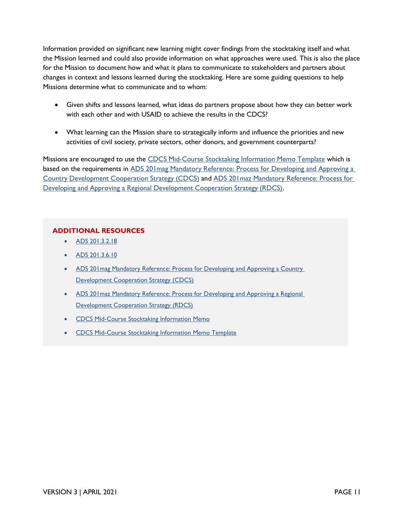Information provided on significant new learning might cover findings from the stocktaking itself and what the Mission learned and could also provide information on what approaches were used. This is also the place for the Mission to document how and what it plans to communicate to stakeholders and partners about changes in context and lessons learned during the stocktaking. Here are some guiding questions to help Missions determine what to communicate and to whom:

- Given shifts and lessons learned, what ideas do partners propose about how they can better work with each other and with USAID to achieve the results in the CDCS?
- What learning can the Mission share to strategically inform and influence the priorities and new activities of civil society, private sectors, other donors, and government counterparts?

Missions are encouraged to use the [CDCS Mid-Course Stocktaking Information Memo Template](https://usaidlearninglab.org/library/how-note-cdcs-mid-course-stocktaking) which is based on the requirements in [ADS 201mag Mandatory Reference: Process for Developing and Approving a](https://www.usaid.gov/ads/policy/200/201mag)  [Country Development Cooperation Strategy \(CDCS\)](https://www.usaid.gov/ads/policy/200/201mag) and [ADS 201maz Mandatory Reference: Process for](https://www.usaid.gov/ads/policy/200/201maz)  [Developing and Approving a Regional Development Cooperation Strategy \(RDCS\).](https://www.usaid.gov/ads/policy/200/201maz)

#### **ADDITIONAL RESOURCES**

- [ADS 201.3.2.18](https://www.usaid.gov/ads/policy/200/201)
- [ADS 201.3.6.10](https://www.usaid.gov/ads/policy/200/201)
- ADS 201 mag Mandatory Reference: Process for Developing and Approving a Country [Development Cooperation Strategy \(CDCS\)](https://www.usaid.gov/ads/policy/200/201mag)
- ADS 201 maz Mandatory Reference: Process for Developing and Approving a Regional [Development Cooperation Strategy \(RDCS\)](https://www.usaid.gov/ads/policy/200/201maz)
- CDCS [Mid-Course Stocktaking Information Memo](https://usaidlearninglab.org/library/how-note-cdcs-mid-course-stocktaking)
- [CDCS Mid-Course Stocktaking Information Memo Template](https://usaidlearninglab.org/library/how-note-cdcs-mid-course-stocktaking)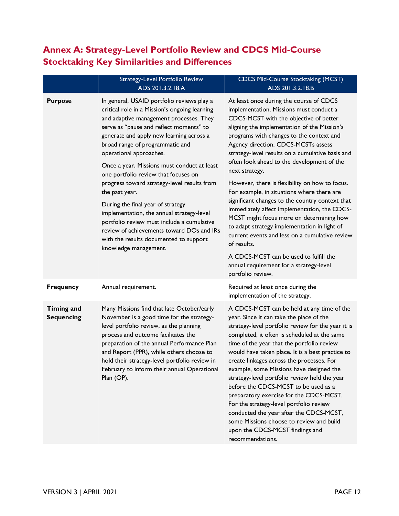## **Annex A: Strategy-Level Portfolio Review and CDCS Mid-Course Stocktaking Key Similarities and Differences**

|                                        | <b>Strategy-Level Portfolio Review</b><br>ADS 201.3.2.18.A                                                                                                                                                                                                                                                                                                                                                                                                                                                                                                                                                                                                                                          | <b>CDCS Mid-Course Stocktaking (MCST)</b><br>ADS 201.3.2.18.B                                                                                                                                                                                                                                                                                                                                                                                                                                                                                                                                                                                                                                                                                                                                                                                                 |
|----------------------------------------|-----------------------------------------------------------------------------------------------------------------------------------------------------------------------------------------------------------------------------------------------------------------------------------------------------------------------------------------------------------------------------------------------------------------------------------------------------------------------------------------------------------------------------------------------------------------------------------------------------------------------------------------------------------------------------------------------------|---------------------------------------------------------------------------------------------------------------------------------------------------------------------------------------------------------------------------------------------------------------------------------------------------------------------------------------------------------------------------------------------------------------------------------------------------------------------------------------------------------------------------------------------------------------------------------------------------------------------------------------------------------------------------------------------------------------------------------------------------------------------------------------------------------------------------------------------------------------|
| <b>Purpose</b>                         | In general, USAID portfolio reviews play a<br>critical role in a Mission's ongoing learning<br>and adaptive management processes. They<br>serve as "pause and reflect moments" to<br>generate and apply new learning across a<br>broad range of programmatic and<br>operational approaches.<br>Once a year, Missions must conduct at least<br>one portfolio review that focuses on<br>progress toward strategy-level results from<br>the past year.<br>During the final year of strategy<br>implementation, the annual strategy-level<br>portfolio review must include a cumulative<br>review of achievements toward DOs and IRs<br>with the results documented to support<br>knowledge management. | At least once during the course of CDCS<br>implementation, Missions must conduct a<br>CDCS-MCST with the objective of better<br>aligning the implementation of the Mission's<br>programs with changes to the context and<br>Agency direction. CDCS-MCSTs assess<br>strategy-level results on a cumulative basis and<br>often look ahead to the development of the<br>next strategy.<br>However, there is flexibility on how to focus.<br>For example, in situations where there are<br>significant changes to the country context that<br>immediately affect implementation, the CDCS-<br>MCST might focus more on determining how<br>to adapt strategy implementation in light of<br>current events and less on a cumulative review<br>of results.<br>A CDCS-MCST can be used to fulfill the<br>annual requirement for a strategy-level<br>portfolio review. |
| <b>Frequency</b>                       | Annual requirement.                                                                                                                                                                                                                                                                                                                                                                                                                                                                                                                                                                                                                                                                                 | Required at least once during the<br>implementation of the strategy.                                                                                                                                                                                                                                                                                                                                                                                                                                                                                                                                                                                                                                                                                                                                                                                          |
| <b>Timing and</b><br><b>Sequencing</b> | Many Missions find that late October/early<br>November is a good time for the strategy-<br>level portfolio review, as the planning<br>process and outcome facilitates the<br>preparation of the annual Performance Plan<br>and Report (PPR), while others choose to<br>hold their strategy-level portfolio review in<br>February to inform their annual Operational<br>Plan (OP).                                                                                                                                                                                                                                                                                                                   | A CDCS-MCST can be held at any time of the<br>year. Since it can take the place of the<br>strategy-level portfolio review for the year it is<br>completed, it often is scheduled at the same<br>time of the year that the portfolio review<br>would have taken place. It is a best practice to<br>create linkages across the processes. For<br>example, some Missions have designed the<br>strategy-level portfolio review held the year<br>before the CDCS-MCST to be used as a<br>preparatory exercise for the CDCS-MCST.<br>For the strategy-level portfolio review<br>conducted the year after the CDCS-MCST,<br>some Missions choose to review and build<br>upon the CDCS-MCST findings and<br>recommendations.                                                                                                                                          |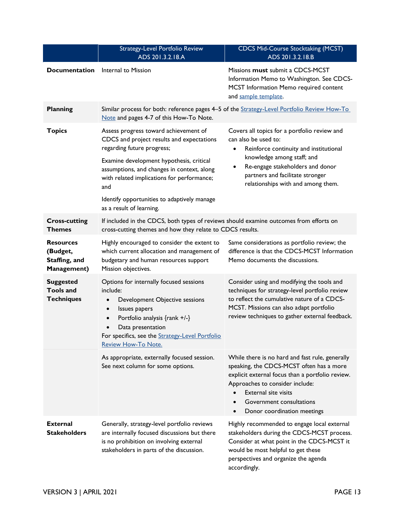|                                                               | Strategy-Level Portfolio Review<br>ADS 201.3.2.18.A                                                                                                                                                                                                                                                                                        | <b>CDCS Mid-Course Stocktaking (MCST)</b><br>ADS 201.3.2.18.B                                                                                                                                                                                                                |
|---------------------------------------------------------------|--------------------------------------------------------------------------------------------------------------------------------------------------------------------------------------------------------------------------------------------------------------------------------------------------------------------------------------------|------------------------------------------------------------------------------------------------------------------------------------------------------------------------------------------------------------------------------------------------------------------------------|
| <b>Documentation</b>                                          | Internal to Mission                                                                                                                                                                                                                                                                                                                        | Missions must submit a CDCS-MCST<br>Information Memo to Washington. See CDCS-<br>MCST Information Memo required content<br>and sample template.                                                                                                                              |
| <b>Planning</b>                                               | Similar process for both: reference pages 4-5 of the Strategy-Level Portfolio Review How-To<br>Note and pages 4-7 of this How-To Note.                                                                                                                                                                                                     |                                                                                                                                                                                                                                                                              |
| <b>Topics</b>                                                 | Assess progress toward achievement of<br>CDCS and project results and expectations<br>regarding future progress;<br>Examine development hypothesis, critical<br>assumptions, and changes in context, along<br>with related implications for performance;<br>and<br>Identify opportunities to adaptively manage<br>as a result of learning. | Covers all topics for a portfolio review and<br>can also be used to:<br>Reinforce continuity and institutional<br>$\bullet$<br>knowledge among staff; and<br>Re-engage stakeholders and donor<br>partners and facilitate stronger<br>relationships with and among them.      |
| <b>Cross-cutting</b><br><b>Themes</b>                         | If included in the CDCS, both types of reviews should examine outcomes from efforts on<br>cross-cutting themes and how they relate to CDCS results.                                                                                                                                                                                        |                                                                                                                                                                                                                                                                              |
| Resources<br>(Budget,<br>Staffing, and<br><b>Management</b> ) | Highly encouraged to consider the extent to<br>which current allocation and management of<br>budgetary and human resources support<br>Mission objectives.                                                                                                                                                                                  | Same considerations as portfolio review; the<br>difference is that the CDCS-MCST Information<br>Memo documents the discussions.                                                                                                                                              |
| <b>Suggested</b><br><b>Tools and</b><br><b>Techniques</b>     | Options for internally focused sessions<br>include:<br>Development Objective sessions<br>$\bullet$<br>Issues papers<br>$\bullet$<br>Portfolio analysis {rank +/-}<br>$\bullet$<br>Data presentation<br>For specifics, see the Strategy-Level Portfolio<br><b>Review How-To Note.</b>                                                       | Consider using and modifying the tools and<br>techniques for strategy-level portfolio review<br>to reflect the cumulative nature of a CDCS-<br>MCST. Missions can also adapt portfolio<br>review techniques to gather external feedback.                                     |
|                                                               | As appropriate, externally focused session.<br>See next column for some options.                                                                                                                                                                                                                                                           | While there is no hard and fast rule, generally<br>speaking, the CDCS-MCST often has a more<br>explicit external focus than a portfolio review.<br>Approaches to consider include:<br><b>External site visits</b><br>Government consultations<br>Donor coordination meetings |
| <b>External</b><br><b>Stakeholders</b>                        | Generally, strategy-level portfolio reviews<br>are internally focused discussions but there<br>is no prohibition on involving external<br>stakeholders in parts of the discussion.                                                                                                                                                         | Highly recommended to engage local external<br>stakeholders during the CDCS-MCST process.<br>Consider at what point in the CDCS-MCST it<br>would be most helpful to get these<br>perspectives and organize the agenda<br>accordingly.                                        |